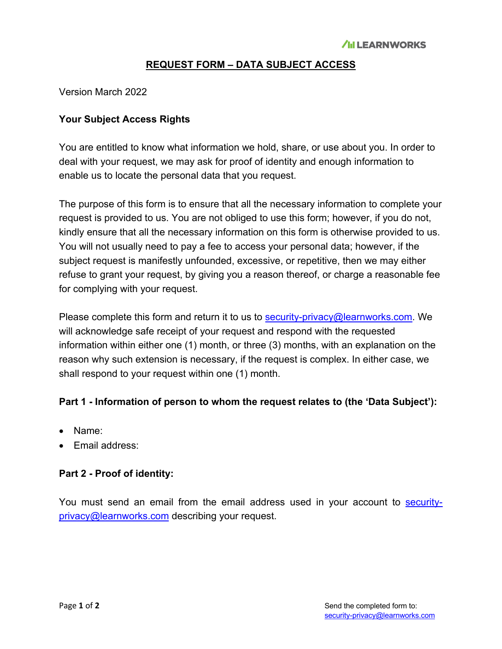## **REQUEST FORM – DATA SUBJECT ACCESS**

Version March 2022

### **Your Subject Access Rights**

You are entitled to know what information we hold, share, or use about you. In order to deal with your request, we may ask for proof of identity and enough information to enable us to locate the personal data that you request.

The purpose of this form is to ensure that all the necessary information to complete your request is provided to us. You are not obliged to use this form; however, if you do not, kindly ensure that all the necessary information on this form is otherwise provided to us. You will not usually need to pay a fee to access your personal data; however, if the subject request is manifestly unfounded, excessive, or repetitive, then we may either refuse to grant your request, by giving you a reason thereof, or charge a reasonable fee for complying with your request.

Please complete this form and return it to us to security-privacy@learnworks.com. We will acknowledge safe receipt of your request and respond with the requested information within either one (1) month, or three (3) months, with an explanation on the reason why such extension is necessary, if the request is complex. In either case, we shall respond to your request within one (1) month.

#### **Part 1 - Information of person to whom the request relates to (the 'Data Subject'):**

- Name:
- Email address:

#### **Part 2 - Proof of identity:**

You must send an email from the email address used in your account to securityprivacy@learnworks.com describing your request.